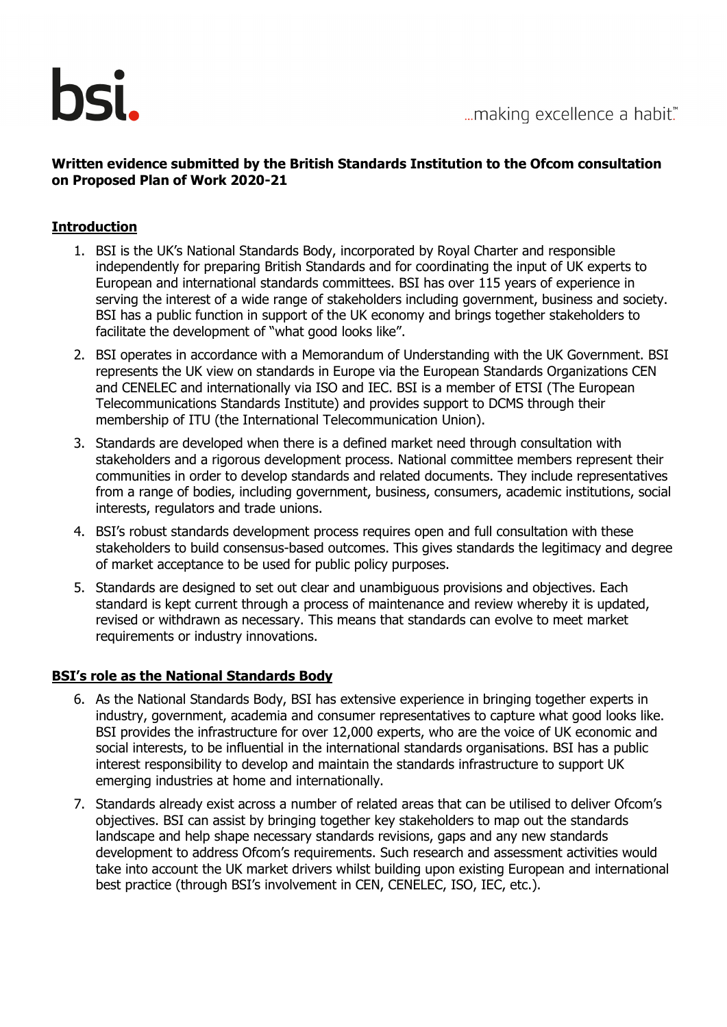

### **Written evidence submitted by the British Standards Institution to the Ofcom consultation on Proposed Plan of Work 2020-21**

### **Introduction**

- 1. BSI is the UK's National Standards Body, incorporated by Royal Charter and responsible independently for preparing British Standards and for coordinating the input of UK experts to European and international standards committees. BSI has over 115 years of experience in serving the interest of a wide range of stakeholders including government, business and society. BSI has a public function in support of the UK economy and brings together stakeholders to facilitate the development of "what good looks like".
- 2. BSI operates in accordance with a Memorandum of Understanding with the UK Government. BSI represents the UK view on standards in Europe via the European Standards Organizations CEN and CENELEC and internationally via ISO and IEC. BSI is a member of ETSI (The European Telecommunications Standards Institute) and provides support to DCMS through their membership of ITU (the International Telecommunication Union).
- 3. Standards are developed when there is a defined market need through consultation with stakeholders and a rigorous development process. National committee members represent their communities in order to develop standards and related documents. They include representatives from a range of bodies, including government, business, consumers, academic institutions, social interests, regulators and trade unions.
- 4. BSI's robust standards development process requires open and full consultation with these stakeholders to build consensus-based outcomes. This gives standards the legitimacy and degree of market acceptance to be used for public policy purposes.
- 5. Standards are designed to set out clear and unambiguous provisions and objectives. Each standard is kept current through a process of maintenance and review whereby it is updated, revised or withdrawn as necessary. This means that standards can evolve to meet market requirements or industry innovations.

#### **BSI's role as the National Standards Body**

- 6. As the National Standards Body, BSI has extensive experience in bringing together experts in industry, government, academia and consumer representatives to capture what good looks like. BSI provides the infrastructure for over 12,000 experts, who are the voice of UK economic and social interests, to be influential in the international standards organisations. BSI has a public interest responsibility to develop and maintain the standards infrastructure to support UK emerging industries at home and internationally.
- 7. Standards already exist across a number of related areas that can be utilised to deliver Ofcom's objectives. BSI can assist by bringing together key stakeholders to map out the standards landscape and help shape necessary standards revisions, gaps and any new standards development to address Ofcom's requirements. Such research and assessment activities would take into account the UK market drivers whilst building upon existing European and international best practice (through BSI's involvement in CEN, CENELEC, ISO, IEC, etc.).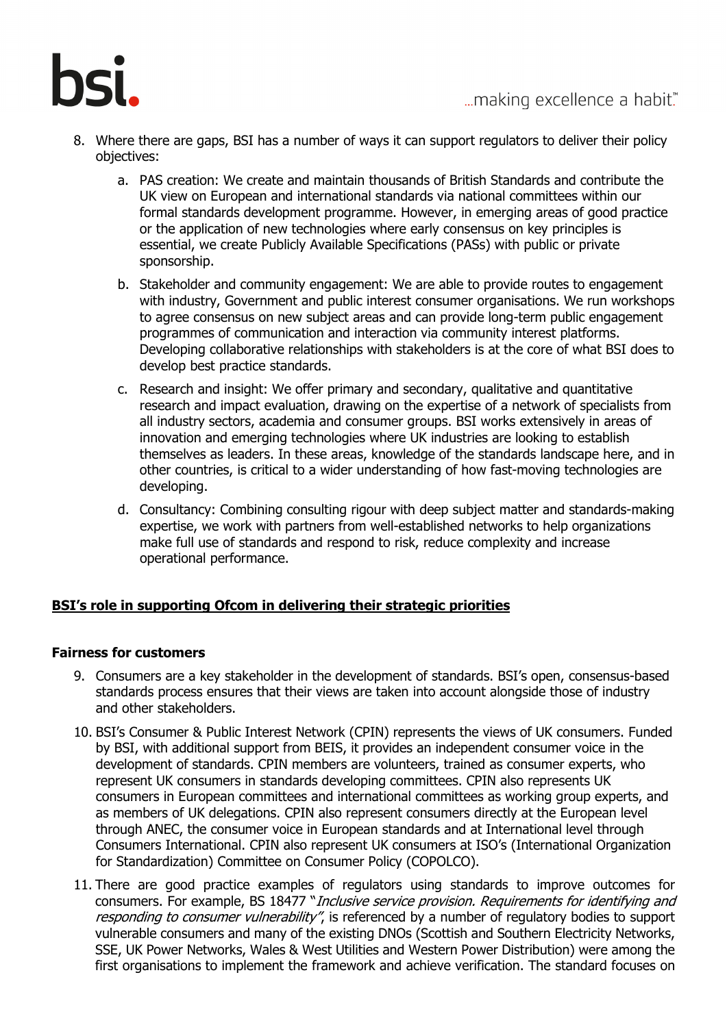

- 8. Where there are gaps, BSI has a number of ways it can support regulators to deliver their policy objectives:
	- a. PAS creation: We create and maintain thousands of British Standards and contribute the UK view on European and international standards via national committees within our formal standards development programme. However, in emerging areas of good practice or the application of new technologies where early consensus on key principles is essential, we create Publicly Available Specifications (PASs) with public or private sponsorship.
	- b. Stakeholder and community engagement: We are able to provide routes to engagement with industry, Government and public interest consumer organisations. We run workshops to agree consensus on new subject areas and can provide long-term public engagement programmes of communication and interaction via community interest platforms. Developing collaborative relationships with stakeholders is at the core of what BSI does to develop best practice standards.
	- c. Research and insight: We offer primary and secondary, qualitative and quantitative research and impact evaluation, drawing on the expertise of a network of specialists from all industry sectors, academia and consumer groups. BSI works extensively in areas of innovation and emerging technologies where UK industries are looking to establish themselves as leaders. In these areas, knowledge of the standards landscape here, and in other countries, is critical to a wider understanding of how fast-moving technologies are developing.
	- d. Consultancy: Combining consulting rigour with deep subject matter and standards-making expertise, we work with partners from well-established networks to help organizations make full use of standards and respond to risk, reduce complexity and increase operational performance.

# **BSI's role in supporting Ofcom in delivering their [strategic priorities](https://www.ofcom.org.uk/consultations-and-statements/category-2/plan-of-work-2020-21#accordion__target-188070)**

#### **Fairness for customers**

- 9. Consumers are a key stakeholder in the development of standards. BSI's open, consensus-based standards process ensures that their views are taken into account alongside those of industry and other stakeholders.
- 10. BSI's Consumer & Public Interest Network (CPIN) represents the views of UK consumers. Funded by BSI, with additional support from BEIS, it provides an independent consumer voice in the development of standards. CPIN members are volunteers, trained as consumer experts, who represent UK consumers in standards developing committees. CPIN also represents UK consumers in European committees and international committees as working group experts, and as members of UK delegations. CPIN also represent consumers directly at the European level through ANEC, the consumer voice in European standards and at International level through Consumers International. CPIN also represent UK consumers at ISO's (International Organization for Standardization) Committee on Consumer Policy (COPOLCO).
- 11. There are good practice examples of regulators using standards to improve outcomes for consumers. For example, BS 18477 "Inclusive service provision. Requirements for identifying and responding to consumer vulnerability", is referenced by a number of regulatory bodies to support vulnerable consumers and many of the existing DNOs (Scottish and Southern Electricity Networks, SSE, UK Power Networks, Wales & West Utilities and Western Power Distribution) were among the first organisations to implement the framework and achieve verification. The standard focuses on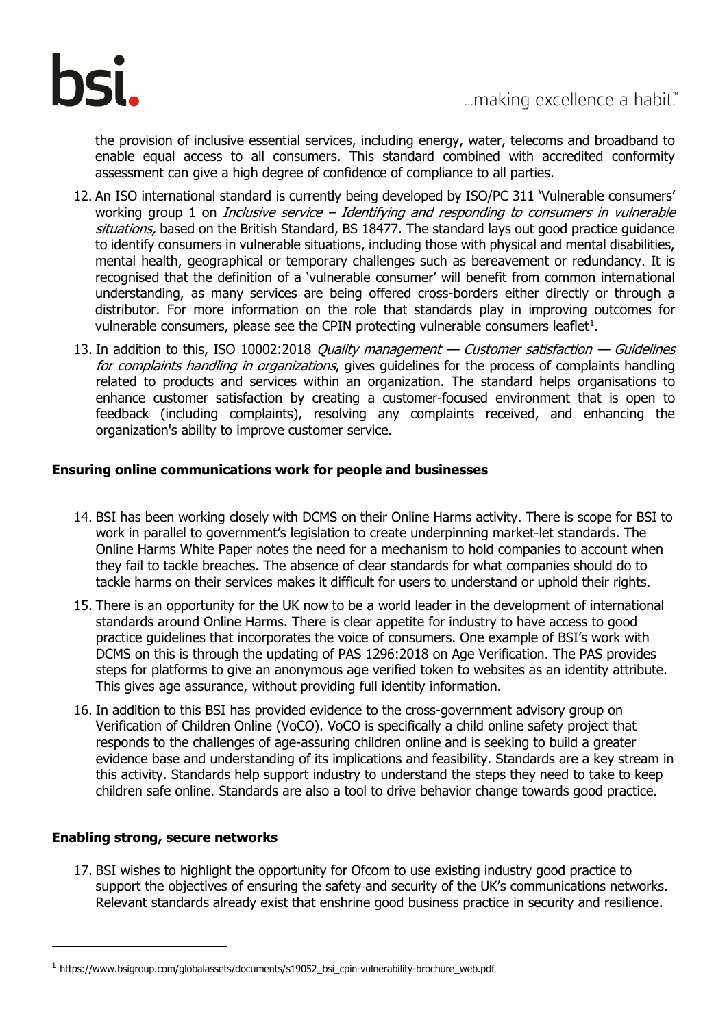

the provision of inclusive essential services, including energy, water, telecoms and broadband to enable equal access to all consumers. This standard combined with accredited conformity assessment can give a high degree of confidence of compliance to all parties.

- 12. An ISO international standard is currently being developed by ISO/PC 311 'Vulnerable consumers' working group 1 on *Inclusive service - Identifying and responding to consumers in vulnerable* situations, based on the British Standard, BS 18477. The standard lays out good practice guidance to identify consumers in vulnerable situations, including those with physical and mental disabilities, mental health, geographical or temporary challenges such as bereavement or redundancy. It is recognised that the definition of a 'vulnerable consumer' will benefit from common international understanding, as many services are being offered cross-borders either directly or through a distributor. For more information on the role that standards play in improving outcomes for vulnerable consumers, please see the CPIN protecting vulnerable consumers leaflet $^1$  $^1$ .
- 13. In addition to this, ISO 10002:2018 Quality management  $-$  Customer satisfaction  $-$  Guidelines for complaints handling in organizations, gives guidelines for the process of complaints handling related to products and services within an organization. The standard helps organisations to enhance customer satisfaction by creating a customer-focused environment that is open to feedback (including complaints), resolving any complaints received, and enhancing the organization's ability to improve customer service.

#### **Ensuring online communications work for people and businesses**

- 14. BSI has been working closely with DCMS on their Online Harms activity. There is scope for BSI to work in parallel to government's legislation to create underpinning market-let standards. The Online Harms White Paper notes the need for a mechanism to hold companies to account when they fail to tackle breaches. The absence of clear standards for what companies should do to tackle harms on their services makes it difficult for users to understand or uphold their rights.
- 15. There is an opportunity for the UK now to be a world leader in the development of international standards around Online Harms. There is clear appetite for industry to have access to good practice guidelines that incorporates the voice of consumers. One example of BSI's work with DCMS on this is through the updating of PAS 1296:2018 on Age Verification. The PAS provides steps for platforms to give an anonymous age verified token to websites as an identity attribute. This gives age assurance, without providing full identity information.
- 16. In addition to this BSI has provided evidence to the cross-government advisory group on Verification of Children Online (VoCO). VoCO is specifically a child online safety project that responds to the challenges of age-assuring children online and is seeking to build a greater evidence base and understanding of its implications and feasibility. Standards are a key stream in this activity. Standards help support industry to understand the steps they need to take to keep children safe online. Standards are also a tool to drive behavior change towards good practice.

#### **Enabling strong, secure networks**

ł

17. BSI wishes to highlight the opportunity for Ofcom to use existing industry good practice to support the objectives of ensuring the safety and security of the UK's communications networks. Relevant standards already exist that enshrine good business practice in security and resilience.

<span id="page-2-0"></span> $1$  https://www.bsigroup.com/globalassets/documents/s19052 bsi\_cpin-vulnerability-brochure\_web.pdf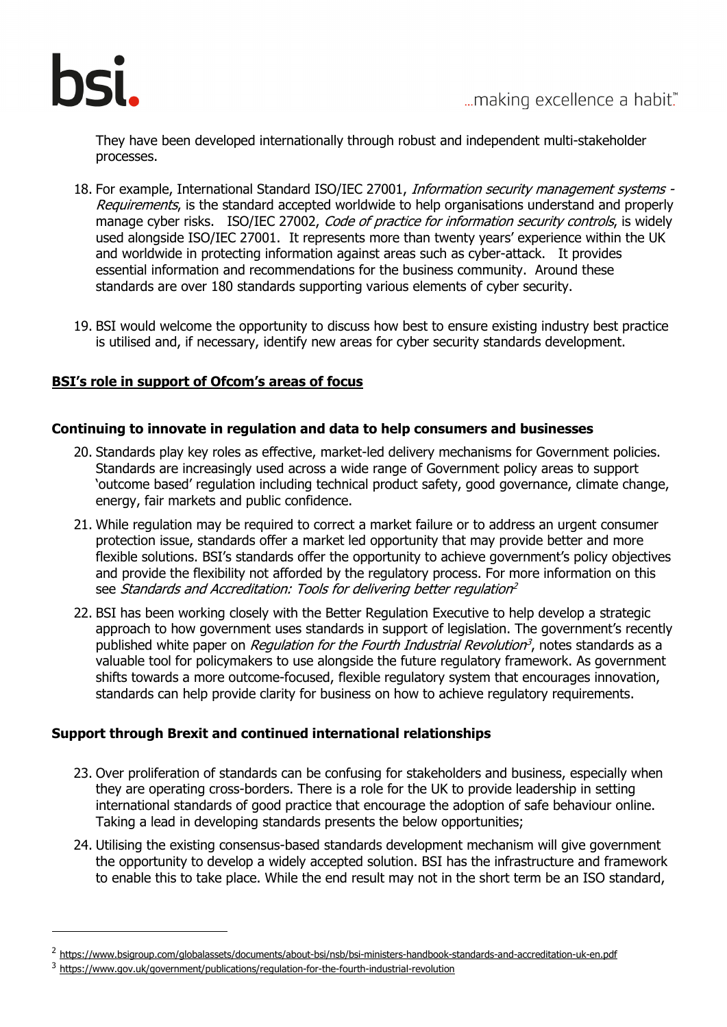

They have been developed internationally through robust and independent multi-stakeholder processes.

- 18. For example, International Standard ISO/IEC 27001, Information security management systems -Requirements, is the standard accepted worldwide to help organisations understand and properly manage cyber risks. ISO/IEC 27002, *Code of practice for information security controls*, is widely used alongside ISO/IEC 27001. It represents more than twenty years' experience within the UK and worldwide in protecting information against areas such as cyber-attack. It provides essential information and recommendations for the business community. Around these standards are over 180 standards supporting various elements of cyber security.
- 19. BSI would welcome the opportunity to discuss how best to ensure existing industry best practice is utilised and, if necessary, identify new areas for cyber security standards development.

# **BSI's role in support of Ofcom's [areas of focus](https://www.ofcom.org.uk/consultations-and-statements/category-2/plan-of-work-2020-21#accordion__target-188072)**

#### **Continuing to innovate in regulation and data to help consumers and businesses**

- 20. Standards play key roles as effective, market-led delivery mechanisms for Government policies. Standards are increasingly used across a wide range of Government policy areas to support 'outcome based' regulation including technical product safety, good governance, climate change, energy, fair markets and public confidence.
- 21. While regulation may be required to correct a market failure or to address an urgent consumer protection issue, standards offer a market led opportunity that may provide better and more flexible solutions. BSI's standards offer the opportunity to achieve government's policy objectives and provide the flexibility not afforded by the regulatory process. For more information on this see Standards and Accreditation: Tools for delivering better regulation<sup>[2](#page-3-0)</sup>
- 22. BSI has been working closely with the Better Regulation Executive to help develop a strategic approach to how government uses standards in support of legislation. The government's recently published white paper on Regulation for the Fourth Industrial Revolution<sup>3</sup>, notes standards as a valuable tool for policymakers to use alongside the future regulatory framework. As government shifts towards a more outcome-focused, flexible regulatory system that encourages innovation, standards can help provide clarity for business on how to achieve regulatory reguirements.

# **Support through Brexit and continued international relationships**

- 23. Over proliferation of standards can be confusing for stakeholders and business, especially when they are operating cross-borders. There is a role for the UK to provide leadership in setting international standards of good practice that encourage the adoption of safe behaviour online. Taking a lead in developing standards presents the below opportunities;
- 24. Utilising the existing consensus-based standards development mechanism will give government the opportunity to develop a widely accepted solution. BSI has the infrastructure and framework to enable this to take place. While the end result may not in the short term be an ISO standard,

ł

<span id="page-3-0"></span><sup>2</sup> <https://www.bsigroup.com/globalassets/documents/about-bsi/nsb/bsi-ministers-handbook-standards-and-accreditation-uk-en.pdf>

<sup>3</sup> <https://www.gov.uk/government/publications/regulation-for-the-fourth-industrial-revolution>